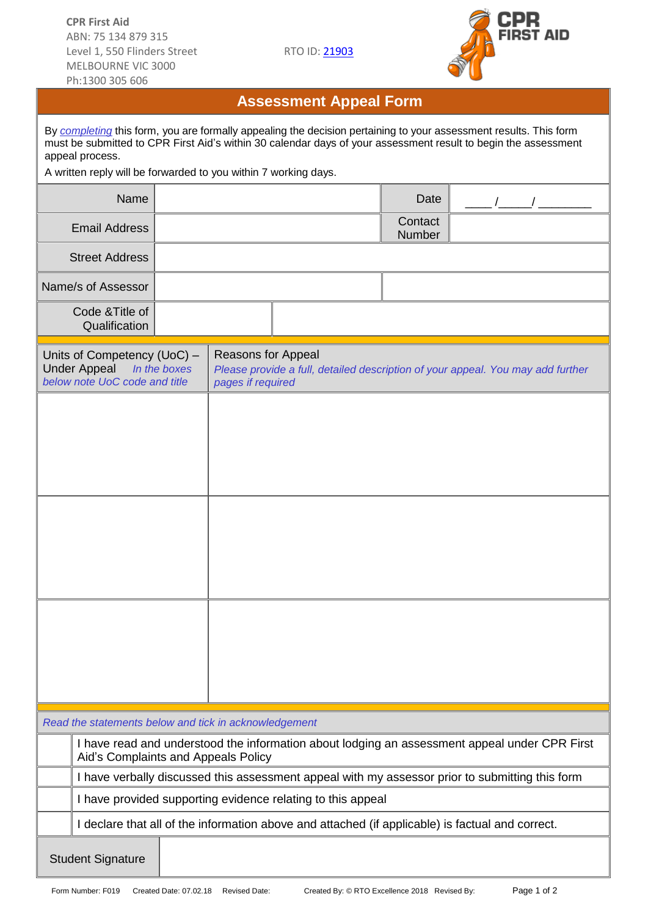

## **Assessment Appeal Form**

| By completing this form, you are formally appealing the decision pertaining to your assessment results. This form<br>must be submitted to CPR First Aid's within 30 calendar days of your assessment result to begin the assessment<br>appeal process.<br>A written reply will be forwarded to you within 7 working days. |                                                                                                                                      |                                                                                                                            |  |  |  |                          |  |  |  |  |
|---------------------------------------------------------------------------------------------------------------------------------------------------------------------------------------------------------------------------------------------------------------------------------------------------------------------------|--------------------------------------------------------------------------------------------------------------------------------------|----------------------------------------------------------------------------------------------------------------------------|--|--|--|--------------------------|--|--|--|--|
|                                                                                                                                                                                                                                                                                                                           | Name                                                                                                                                 |                                                                                                                            |  |  |  | Date                     |  |  |  |  |
|                                                                                                                                                                                                                                                                                                                           | <b>Email Address</b>                                                                                                                 |                                                                                                                            |  |  |  | Contact<br><b>Number</b> |  |  |  |  |
|                                                                                                                                                                                                                                                                                                                           | <b>Street Address</b>                                                                                                                |                                                                                                                            |  |  |  |                          |  |  |  |  |
|                                                                                                                                                                                                                                                                                                                           | Name/s of Assessor                                                                                                                   |                                                                                                                            |  |  |  |                          |  |  |  |  |
|                                                                                                                                                                                                                                                                                                                           | Code & Title of<br>Qualification                                                                                                     |                                                                                                                            |  |  |  |                          |  |  |  |  |
| Units of Competency (UoC) -<br><b>Under Appeal</b><br>In the boxes<br>below note UoC code and title                                                                                                                                                                                                                       |                                                                                                                                      | Reasons for Appeal<br>Please provide a full, detailed description of your appeal. You may add further<br>pages if required |  |  |  |                          |  |  |  |  |
|                                                                                                                                                                                                                                                                                                                           |                                                                                                                                      |                                                                                                                            |  |  |  |                          |  |  |  |  |
|                                                                                                                                                                                                                                                                                                                           |                                                                                                                                      |                                                                                                                            |  |  |  |                          |  |  |  |  |
|                                                                                                                                                                                                                                                                                                                           |                                                                                                                                      |                                                                                                                            |  |  |  |                          |  |  |  |  |
| Read the statements below and tick in acknowledgement                                                                                                                                                                                                                                                                     |                                                                                                                                      |                                                                                                                            |  |  |  |                          |  |  |  |  |
|                                                                                                                                                                                                                                                                                                                           | I have read and understood the information about lodging an assessment appeal under CPR First<br>Aid's Complaints and Appeals Policy |                                                                                                                            |  |  |  |                          |  |  |  |  |
|                                                                                                                                                                                                                                                                                                                           | I have verbally discussed this assessment appeal with my assessor prior to submitting this form                                      |                                                                                                                            |  |  |  |                          |  |  |  |  |
|                                                                                                                                                                                                                                                                                                                           | I have provided supporting evidence relating to this appeal                                                                          |                                                                                                                            |  |  |  |                          |  |  |  |  |
|                                                                                                                                                                                                                                                                                                                           | I declare that all of the information above and attached (if applicable) is factual and correct.                                     |                                                                                                                            |  |  |  |                          |  |  |  |  |
| <b>Student Signature</b>                                                                                                                                                                                                                                                                                                  |                                                                                                                                      |                                                                                                                            |  |  |  |                          |  |  |  |  |